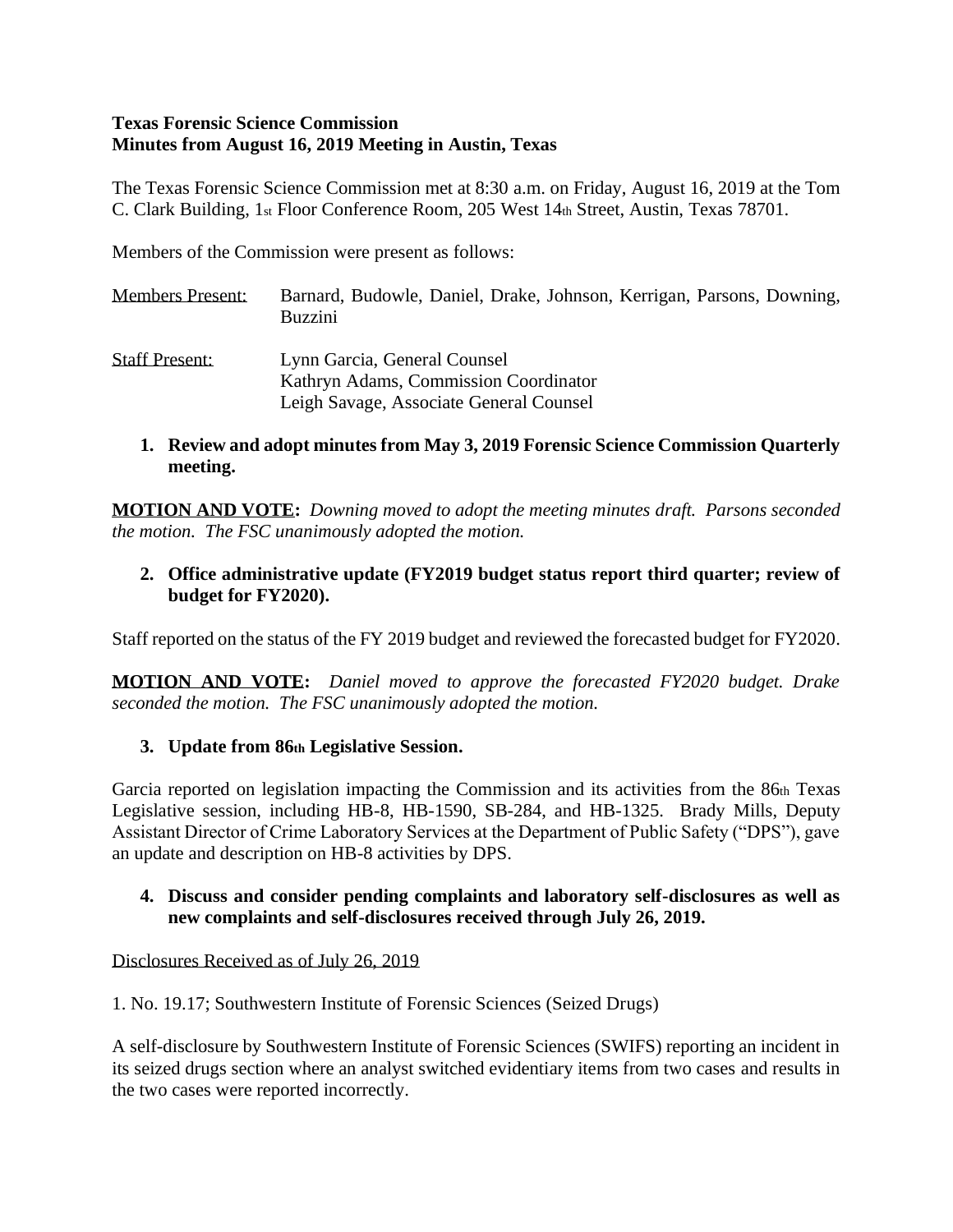#### **Texas Forensic Science Commission Minutes from August 16, 2019 Meeting in Austin, Texas**

The Texas Forensic Science Commission met at 8:30 a.m. on Friday, August 16, 2019 at the Tom C. Clark Building, 1st Floor Conference Room, 205 West 14th Street, Austin, Texas 78701.

Members of the Commission were present as follows:

Members Present: Barnard, Budowle, Daniel, Drake, Johnson, Kerrigan, Parsons, Downing, Buzzini Staff Present: Lynn Garcia, General Counsel Kathryn Adams, Commission Coordinator Leigh Savage, Associate General Counsel

#### **1. Review and adopt minutes from May 3, 2019 Forensic Science Commission Quarterly meeting.**

**MOTION AND VOTE:** *Downing moved to adopt the meeting minutes draft. Parsons seconded the motion. The FSC unanimously adopted the motion.*

### **2. Office administrative update (FY2019 budget status report third quarter; review of budget for FY2020).**

Staff reported on the status of the FY 2019 budget and reviewed the forecasted budget for FY2020.

**MOTION AND VOTE:** *Daniel moved to approve the forecasted FY2020 budget. Drake seconded the motion. The FSC unanimously adopted the motion.*

### **3. Update from 86th Legislative Session.**

Garcia reported on legislation impacting the Commission and its activities from the 86th Texas Legislative session, including HB-8, HB-1590, SB-284, and HB-1325. Brady Mills, Deputy Assistant Director of Crime Laboratory Services at the Department of Public Safety ("DPS"), gave an update and description on HB-8 activities by DPS.

#### **4. Discuss and consider pending complaints and laboratory self-disclosures as well as new complaints and self-disclosures received through July 26, 2019.**

#### Disclosures Received as of July 26, 2019

1. No. 19.17; Southwestern Institute of Forensic Sciences (Seized Drugs)

A self-disclosure by Southwestern Institute of Forensic Sciences (SWIFS) reporting an incident in its seized drugs section where an analyst switched evidentiary items from two cases and results in the two cases were reported incorrectly.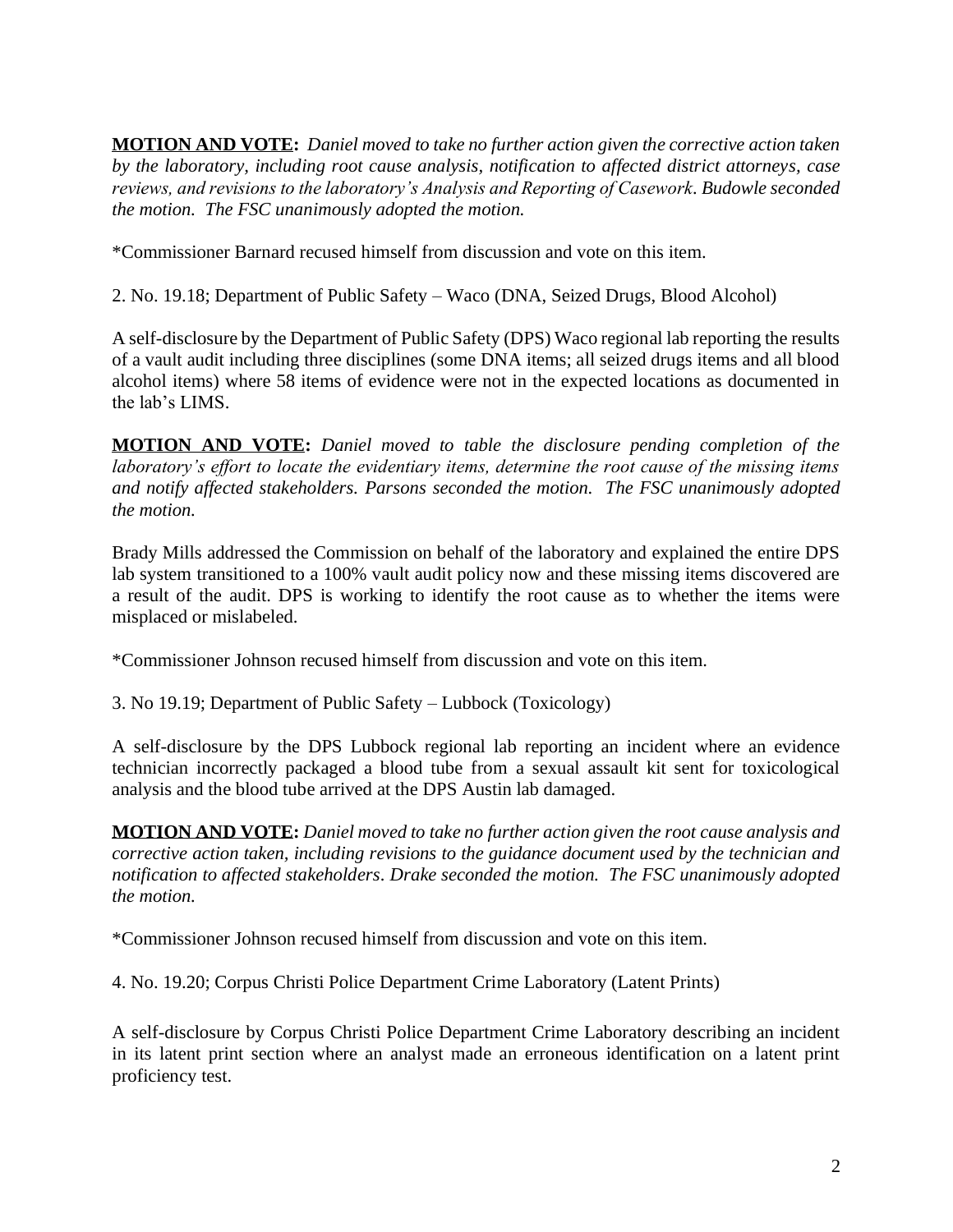**MOTION AND VOTE:** *Daniel moved to take no further action given the corrective action taken by the laboratory, including root cause analysis, notification to affected district attorneys, case reviews, and revisions to the laboratory's Analysis and Reporting of Casework. Budowle seconded the motion. The FSC unanimously adopted the motion.*

\*Commissioner Barnard recused himself from discussion and vote on this item.

2. No. 19.18; Department of Public Safety – Waco (DNA, Seized Drugs, Blood Alcohol)

A self-disclosure by the Department of Public Safety (DPS) Waco regional lab reporting the results of a vault audit including three disciplines (some DNA items; all seized drugs items and all blood alcohol items) where 58 items of evidence were not in the expected locations as documented in the lab's LIMS.

**MOTION AND VOTE:** *Daniel moved to table the disclosure pending completion of the laboratory's effort to locate the evidentiary items, determine the root cause of the missing items and notify affected stakeholders. Parsons seconded the motion. The FSC unanimously adopted the motion.*

Brady Mills addressed the Commission on behalf of the laboratory and explained the entire DPS lab system transitioned to a 100% vault audit policy now and these missing items discovered are a result of the audit. DPS is working to identify the root cause as to whether the items were misplaced or mislabeled.

\*Commissioner Johnson recused himself from discussion and vote on this item.

3. No 19.19; Department of Public Safety – Lubbock (Toxicology)

A self-disclosure by the DPS Lubbock regional lab reporting an incident where an evidence technician incorrectly packaged a blood tube from a sexual assault kit sent for toxicological analysis and the blood tube arrived at the DPS Austin lab damaged.

**MOTION AND VOTE:** *Daniel moved to take no further action given the root cause analysis and corrective action taken, including revisions to the guidance document used by the technician and notification to affected stakeholders. Drake seconded the motion. The FSC unanimously adopted the motion.*

\*Commissioner Johnson recused himself from discussion and vote on this item.

4. No. 19.20; Corpus Christi Police Department Crime Laboratory (Latent Prints)

A self-disclosure by Corpus Christi Police Department Crime Laboratory describing an incident in its latent print section where an analyst made an erroneous identification on a latent print proficiency test.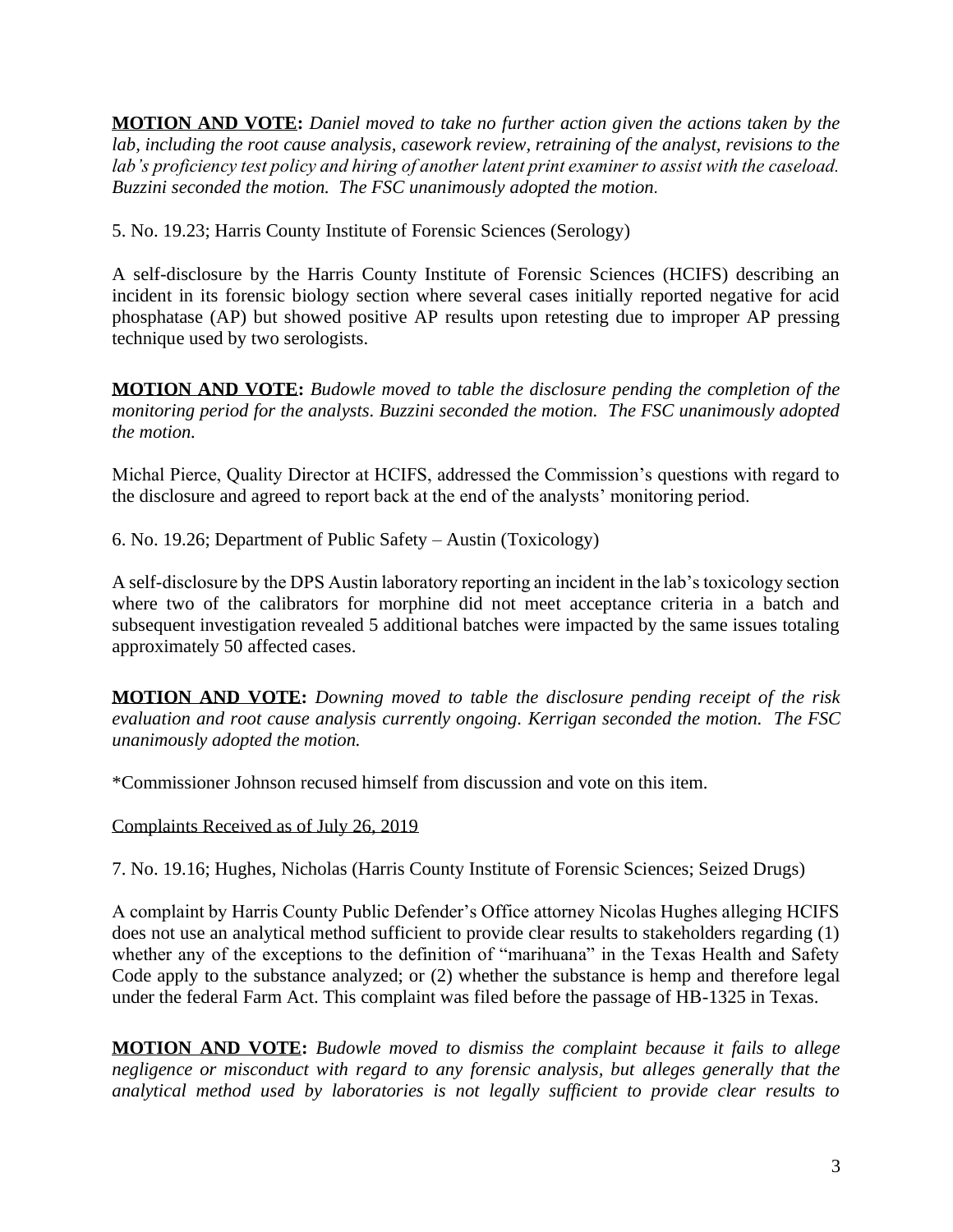**MOTION AND VOTE:** *Daniel moved to take no further action given the actions taken by the lab, including the root cause analysis, casework review, retraining of the analyst, revisions to the lab's proficiency test policy and hiring of another latent print examiner to assist with the caseload. Buzzini seconded the motion. The FSC unanimously adopted the motion.*

5. No. 19.23; Harris County Institute of Forensic Sciences (Serology)

A self-disclosure by the Harris County Institute of Forensic Sciences (HCIFS) describing an incident in its forensic biology section where several cases initially reported negative for acid phosphatase (AP) but showed positive AP results upon retesting due to improper AP pressing technique used by two serologists.

**MOTION AND VOTE:** *Budowle moved to table the disclosure pending the completion of the monitoring period for the analysts. Buzzini seconded the motion. The FSC unanimously adopted the motion.*

Michal Pierce, Quality Director at HCIFS, addressed the Commission's questions with regard to the disclosure and agreed to report back at the end of the analysts' monitoring period.

6. No. 19.26; Department of Public Safety – Austin (Toxicology)

A self-disclosure by the DPS Austin laboratory reporting an incident in the lab's toxicology section where two of the calibrators for morphine did not meet acceptance criteria in a batch and subsequent investigation revealed 5 additional batches were impacted by the same issues totaling approximately 50 affected cases.

**MOTION AND VOTE:** *Downing moved to table the disclosure pending receipt of the risk evaluation and root cause analysis currently ongoing. Kerrigan seconded the motion. The FSC unanimously adopted the motion.*

\*Commissioner Johnson recused himself from discussion and vote on this item.

Complaints Received as of July 26, 2019

7. No. 19.16; Hughes, Nicholas (Harris County Institute of Forensic Sciences; Seized Drugs)

A complaint by Harris County Public Defender's Office attorney Nicolas Hughes alleging HCIFS does not use an analytical method sufficient to provide clear results to stakeholders regarding (1) whether any of the exceptions to the definition of "marihuana" in the Texas Health and Safety Code apply to the substance analyzed; or (2) whether the substance is hemp and therefore legal under the federal Farm Act. This complaint was filed before the passage of HB-1325 in Texas.

**MOTION AND VOTE:** *Budowle moved to dismiss the complaint because it fails to allege negligence or misconduct with regard to any forensic analysis, but alleges generally that the analytical method used by laboratories is not legally sufficient to provide clear results to*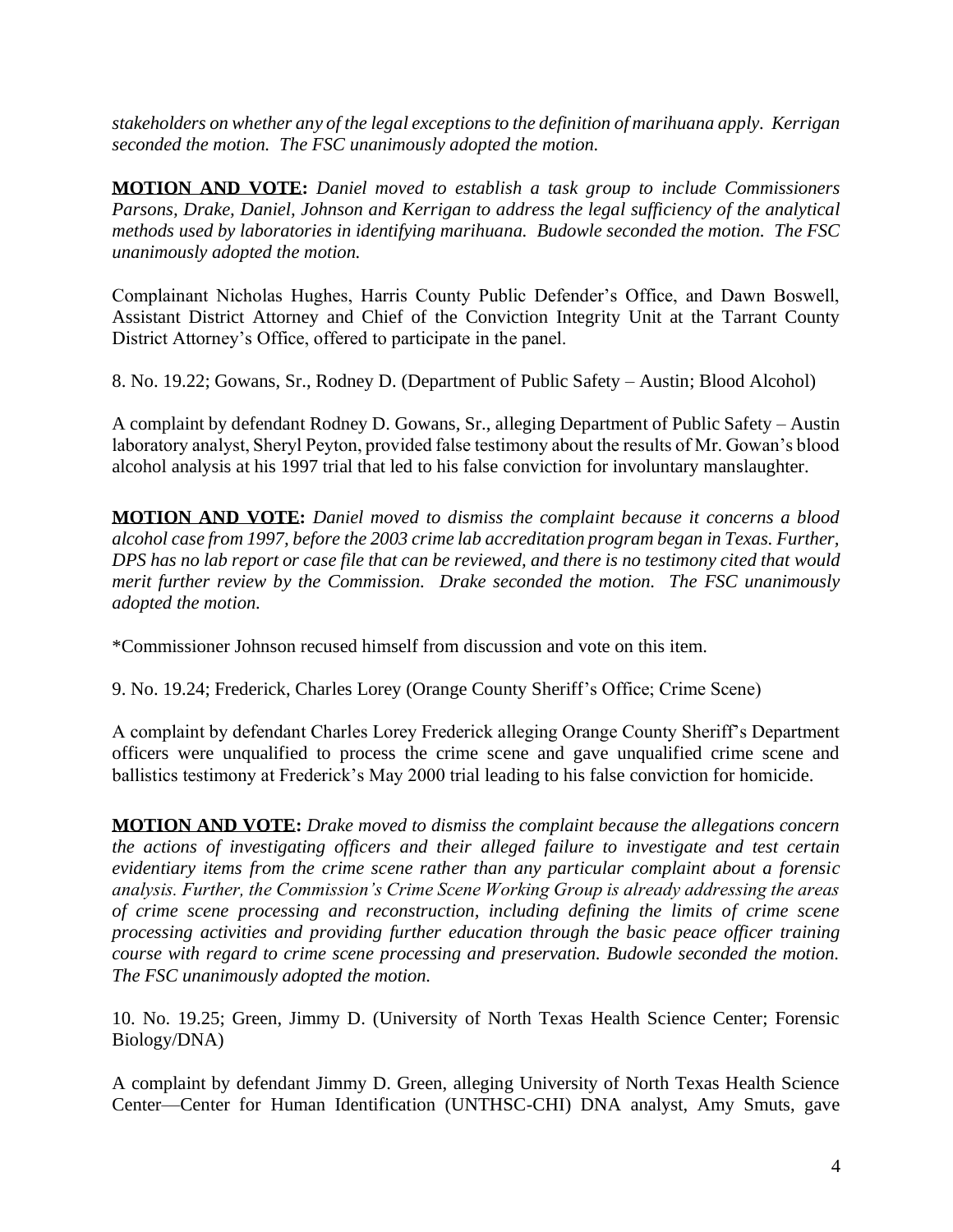*stakeholders on whether any of the legal exceptions to the definition of marihuana apply. Kerrigan seconded the motion. The FSC unanimously adopted the motion.*

**MOTION AND VOTE:** *Daniel moved to establish a task group to include Commissioners Parsons, Drake, Daniel, Johnson and Kerrigan to address the legal sufficiency of the analytical methods used by laboratories in identifying marihuana. Budowle seconded the motion. The FSC unanimously adopted the motion.*

Complainant Nicholas Hughes, Harris County Public Defender's Office, and Dawn Boswell, Assistant District Attorney and Chief of the Conviction Integrity Unit at the Tarrant County District Attorney's Office, offered to participate in the panel.

8. No. 19.22; Gowans, Sr., Rodney D. (Department of Public Safety – Austin; Blood Alcohol)

A complaint by defendant Rodney D. Gowans, Sr., alleging Department of Public Safety – Austin laboratory analyst, Sheryl Peyton, provided false testimony about the results of Mr. Gowan's blood alcohol analysis at his 1997 trial that led to his false conviction for involuntary manslaughter.

**MOTION AND VOTE:** *Daniel moved to dismiss the complaint because it concerns a blood alcohol case from 1997, before the 2003 crime lab accreditation program began in Texas. Further, DPS has no lab report or case file that can be reviewed, and there is no testimony cited that would merit further review by the Commission. Drake seconded the motion. The FSC unanimously adopted the motion.*

\*Commissioner Johnson recused himself from discussion and vote on this item.

9. No. 19.24; Frederick, Charles Lorey (Orange County Sheriff's Office; Crime Scene)

A complaint by defendant Charles Lorey Frederick alleging Orange County Sheriff's Department officers were unqualified to process the crime scene and gave unqualified crime scene and ballistics testimony at Frederick's May 2000 trial leading to his false conviction for homicide.

**MOTION AND VOTE:** *Drake moved to dismiss the complaint because the allegations concern the actions of investigating officers and their alleged failure to investigate and test certain evidentiary items from the crime scene rather than any particular complaint about a forensic analysis. Further, the Commission's Crime Scene Working Group is already addressing the areas of crime scene processing and reconstruction, including defining the limits of crime scene processing activities and providing further education through the basic peace officer training course with regard to crime scene processing and preservation. Budowle seconded the motion. The FSC unanimously adopted the motion.*

10. No. 19.25; Green, Jimmy D. (University of North Texas Health Science Center; Forensic Biology/DNA)

A complaint by defendant Jimmy D. Green, alleging University of North Texas Health Science Center—Center for Human Identification (UNTHSC-CHI) DNA analyst, Amy Smuts, gave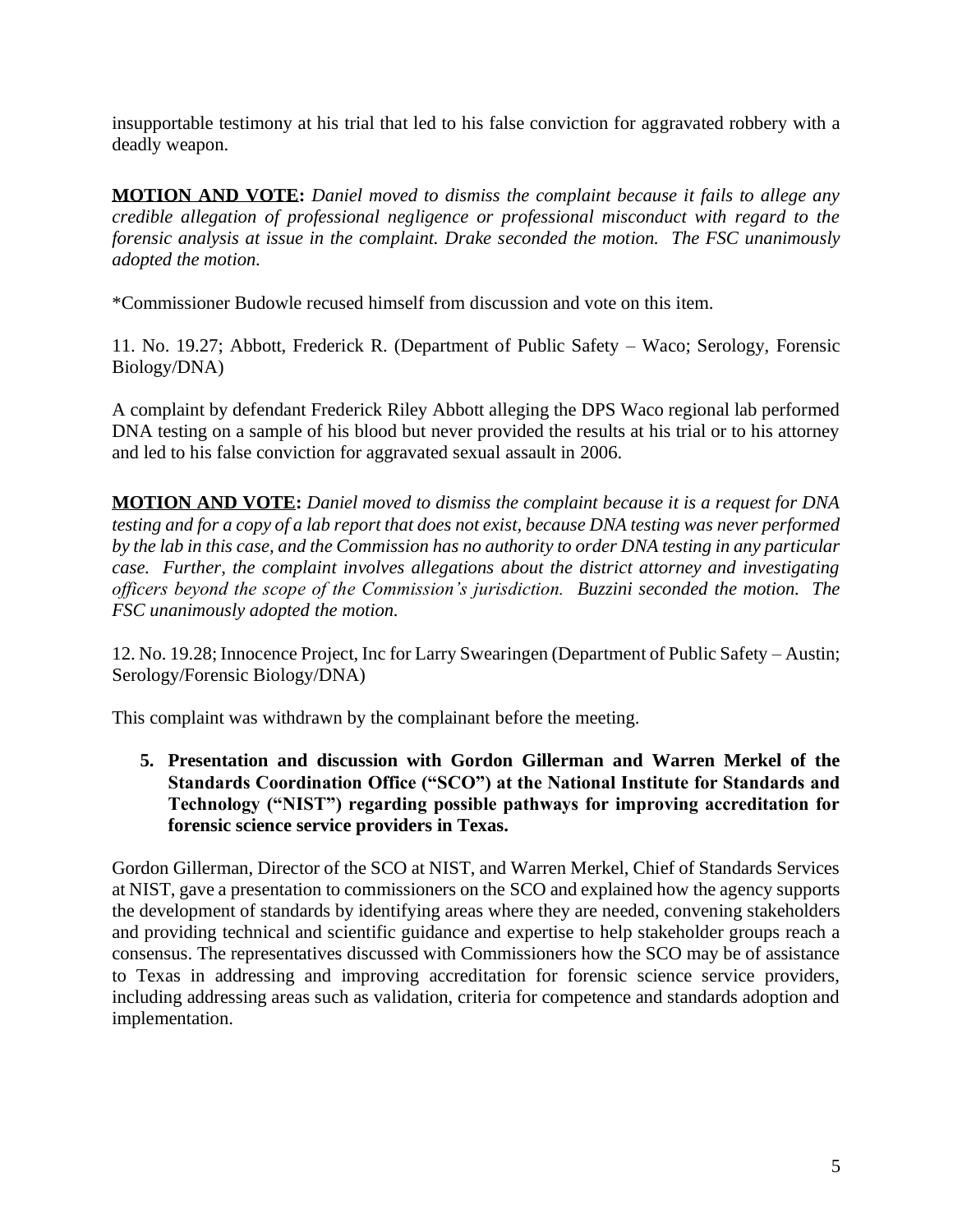insupportable testimony at his trial that led to his false conviction for aggravated robbery with a deadly weapon.

**MOTION AND VOTE:** *Daniel moved to dismiss the complaint because it fails to allege any credible allegation of professional negligence or professional misconduct with regard to the forensic analysis at issue in the complaint. Drake seconded the motion. The FSC unanimously adopted the motion.*

\*Commissioner Budowle recused himself from discussion and vote on this item.

11. No. 19.27; Abbott, Frederick R. (Department of Public Safety – Waco; Serology, Forensic Biology/DNA)

A complaint by defendant Frederick Riley Abbott alleging the DPS Waco regional lab performed DNA testing on a sample of his blood but never provided the results at his trial or to his attorney and led to his false conviction for aggravated sexual assault in 2006.

**MOTION AND VOTE:** *Daniel moved to dismiss the complaint because it is a request for DNA testing and for a copy of a lab report that does not exist, because DNA testing was never performed by the lab in this case, and the Commission has no authority to order DNA testing in any particular case. Further, the complaint involves allegations about the district attorney and investigating officers beyond the scope of the Commission's jurisdiction. Buzzini seconded the motion. The FSC unanimously adopted the motion.*

12. No. 19.28; Innocence Project, Inc for Larry Swearingen (Department of Public Safety – Austin; Serology/Forensic Biology/DNA)

This complaint was withdrawn by the complainant before the meeting.

**5. Presentation and discussion with Gordon Gillerman and Warren Merkel of the Standards Coordination Office ("SCO") at the National Institute for Standards and Technology ("NIST") regarding possible pathways for improving accreditation for forensic science service providers in Texas.**

Gordon Gillerman, Director of the SCO at NIST, and Warren Merkel, Chief of Standards Services at NIST, gave a presentation to commissioners on the SCO and explained how the agency supports the development of standards by identifying areas where they are needed, convening stakeholders and providing technical and scientific guidance and expertise to help stakeholder groups reach a consensus. The representatives discussed with Commissioners how the SCO may be of assistance to Texas in addressing and improving accreditation for forensic science service providers, including addressing areas such as validation, criteria for competence and standards adoption and implementation.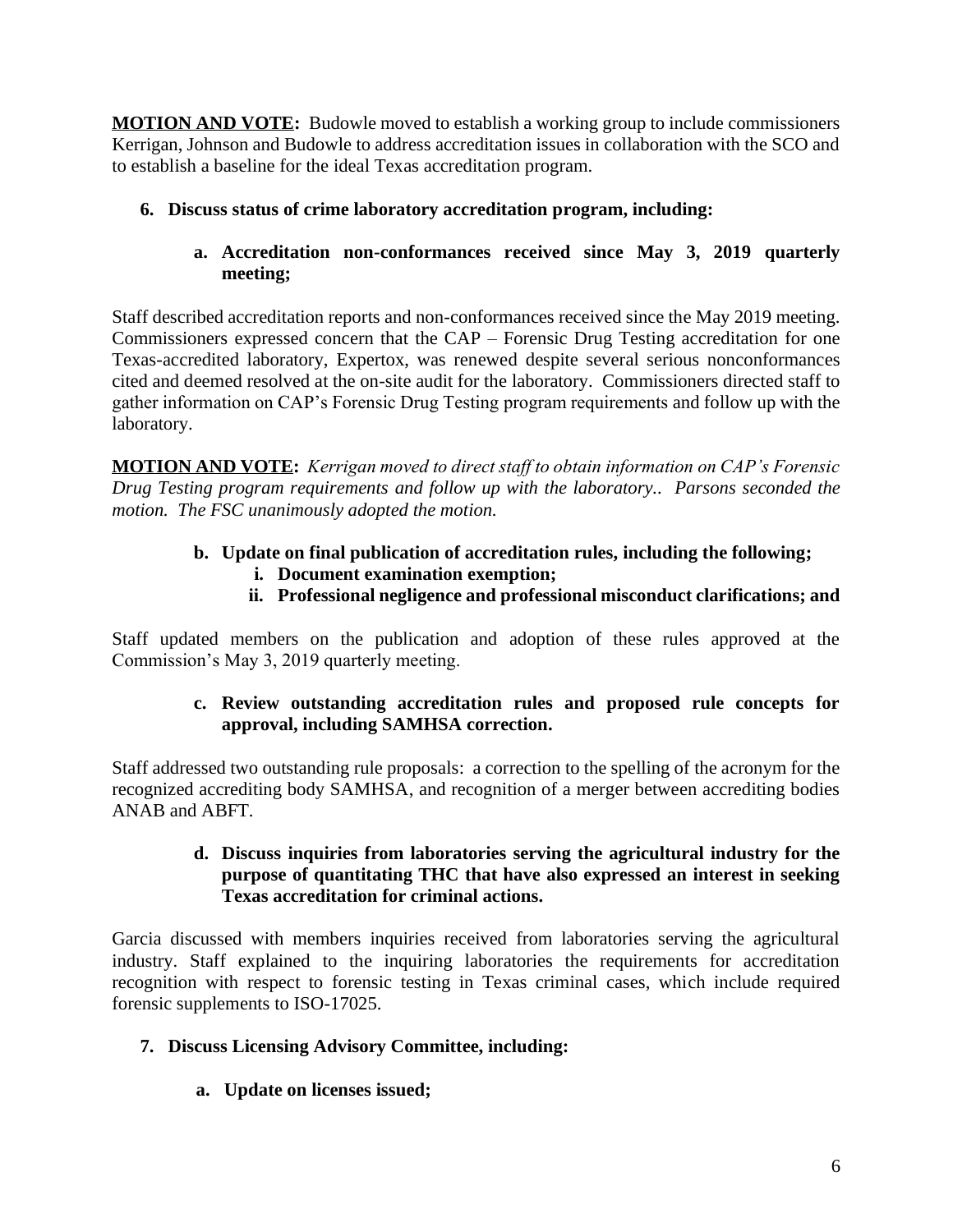**MOTION AND VOTE:** Budowle moved to establish a working group to include commissioners Kerrigan, Johnson and Budowle to address accreditation issues in collaboration with the SCO and to establish a baseline for the ideal Texas accreditation program.

# **6. Discuss status of crime laboratory accreditation program, including:**

**a. Accreditation non-conformances received since May 3, 2019 quarterly meeting;**

Staff described accreditation reports and non-conformances received since the May 2019 meeting. Commissioners expressed concern that the CAP – Forensic Drug Testing accreditation for one Texas-accredited laboratory, Expertox, was renewed despite several serious nonconformances cited and deemed resolved at the on-site audit for the laboratory. Commissioners directed staff to gather information on CAP's Forensic Drug Testing program requirements and follow up with the laboratory.

**MOTION AND VOTE:** *Kerrigan moved to direct staff to obtain information on CAP's Forensic Drug Testing program requirements and follow up with the laboratory.. Parsons seconded the motion. The FSC unanimously adopted the motion.* 

- **b. Update on final publication of accreditation rules, including the following; i. Document examination exemption;** 
	- **ii. Professional negligence and professional misconduct clarifications; and**

Staff updated members on the publication and adoption of these rules approved at the Commission's May 3, 2019 quarterly meeting.

## **c. Review outstanding accreditation rules and proposed rule concepts for approval, including SAMHSA correction.**

Staff addressed two outstanding rule proposals: a correction to the spelling of the acronym for the recognized accrediting body SAMHSA, and recognition of a merger between accrediting bodies ANAB and ABFT.

### **d. Discuss inquiries from laboratories serving the agricultural industry for the purpose of quantitating THC that have also expressed an interest in seeking Texas accreditation for criminal actions.**

Garcia discussed with members inquiries received from laboratories serving the agricultural industry. Staff explained to the inquiring laboratories the requirements for accreditation recognition with respect to forensic testing in Texas criminal cases, which include required forensic supplements to ISO-17025.

# **7. Discuss Licensing Advisory Committee, including:**

**a. Update on licenses issued;**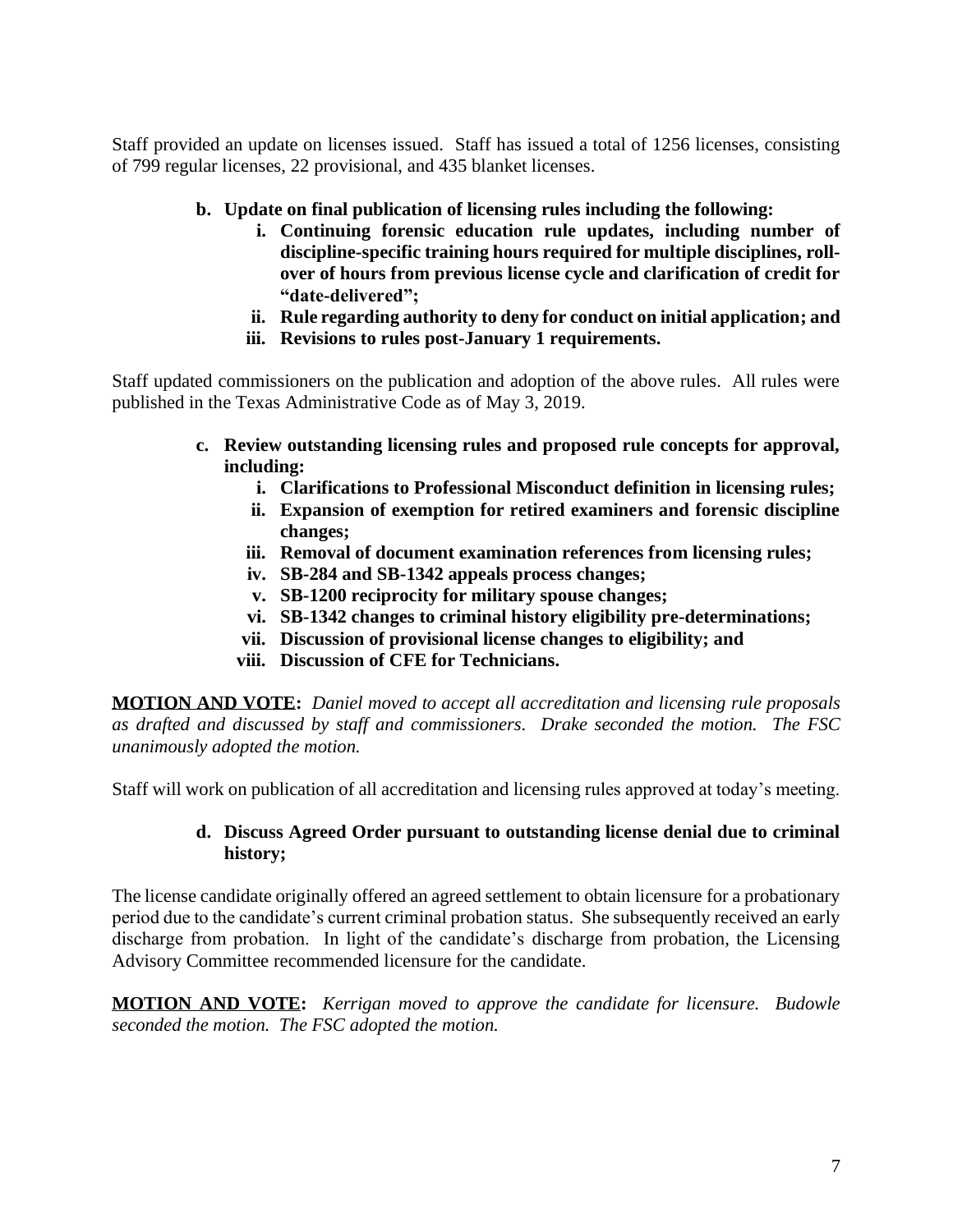Staff provided an update on licenses issued. Staff has issued a total of 1256 licenses, consisting of 799 regular licenses, 22 provisional, and 435 blanket licenses.

- **b. Update on final publication of licensing rules including the following:**
	- **i. Continuing forensic education rule updates, including number of discipline-specific training hours required for multiple disciplines, rollover of hours from previous license cycle and clarification of credit for "date-delivered";**
	- **ii. Rule regarding authority to deny for conduct on initial application; and**
	- **iii. Revisions to rules post-January 1 requirements.**

Staff updated commissioners on the publication and adoption of the above rules. All rules were published in the Texas Administrative Code as of May 3, 2019.

- **c. Review outstanding licensing rules and proposed rule concepts for approval, including:**
	- **i. Clarifications to Professional Misconduct definition in licensing rules;**
	- **ii. Expansion of exemption for retired examiners and forensic discipline changes;**
	- **iii. Removal of document examination references from licensing rules;**
	- **iv. SB-284 and SB-1342 appeals process changes;**
	- **v. SB-1200 reciprocity for military spouse changes;**
	- **vi. SB-1342 changes to criminal history eligibility pre-determinations;**
	- **vii. Discussion of provisional license changes to eligibility; and**
	- **viii. Discussion of CFE for Technicians.**

**MOTION AND VOTE:** *Daniel moved to accept all accreditation and licensing rule proposals as drafted and discussed by staff and commissioners. Drake seconded the motion. The FSC unanimously adopted the motion.*

Staff will work on publication of all accreditation and licensing rules approved at today's meeting.

### **d. Discuss Agreed Order pursuant to outstanding license denial due to criminal history;**

The license candidate originally offered an agreed settlement to obtain licensure for a probationary period due to the candidate's current criminal probation status. She subsequently received an early discharge from probation. In light of the candidate's discharge from probation, the Licensing Advisory Committee recommended licensure for the candidate.

**MOTION AND VOTE:** *Kerrigan moved to approve the candidate for licensure. Budowle seconded the motion. The FSC adopted the motion.*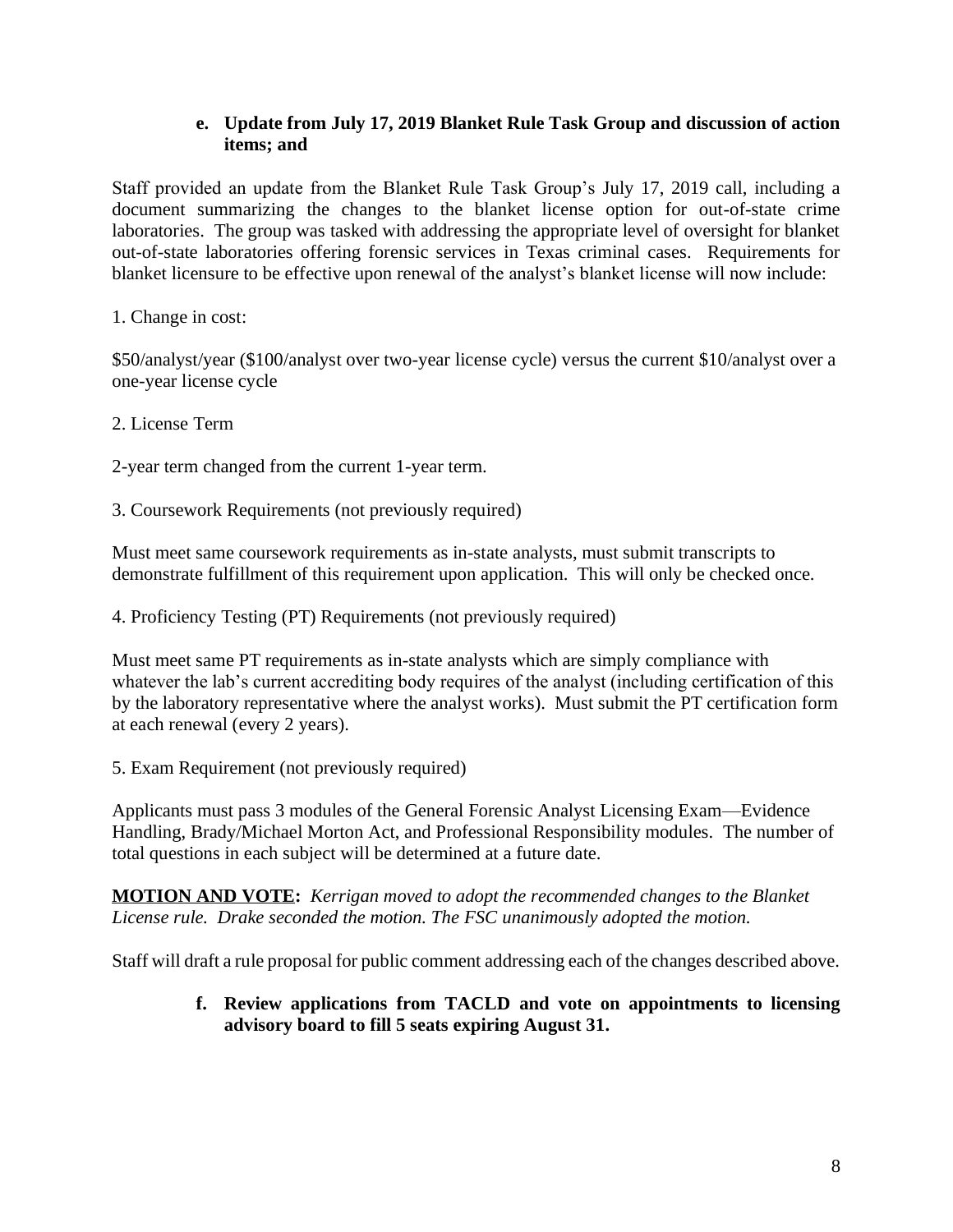### **e. Update from July 17, 2019 Blanket Rule Task Group and discussion of action items; and**

Staff provided an update from the Blanket Rule Task Group's July 17, 2019 call, including a document summarizing the changes to the blanket license option for out-of-state crime laboratories. The group was tasked with addressing the appropriate level of oversight for blanket out-of-state laboratories offering forensic services in Texas criminal cases. Requirements for blanket licensure to be effective upon renewal of the analyst's blanket license will now include:

1. Change in cost:

\$50/analyst/year (\$100/analyst over two-year license cycle) versus the current \$10/analyst over a one-year license cycle

2. License Term

2-year term changed from the current 1-year term.

3. Coursework Requirements (not previously required)

Must meet same coursework requirements as in-state analysts, must submit transcripts to demonstrate fulfillment of this requirement upon application. This will only be checked once.

4. Proficiency Testing (PT) Requirements (not previously required)

Must meet same PT requirements as in-state analysts which are simply compliance with whatever the lab's current accrediting body requires of the analyst (including certification of this by the laboratory representative where the analyst works). Must submit the PT certification form at each renewal (every 2 years).

5. Exam Requirement (not previously required)

Applicants must pass 3 modules of the General Forensic Analyst Licensing Exam—Evidence Handling, Brady/Michael Morton Act, and Professional Responsibility modules. The number of total questions in each subject will be determined at a future date.

**MOTION AND VOTE:** *Kerrigan moved to adopt the recommended changes to the Blanket License rule. Drake seconded the motion. The FSC unanimously adopted the motion.* 

Staff will draft a rule proposal for public comment addressing each of the changes described above.

#### **f. Review applications from TACLD and vote on appointments to licensing advisory board to fill 5 seats expiring August 31.**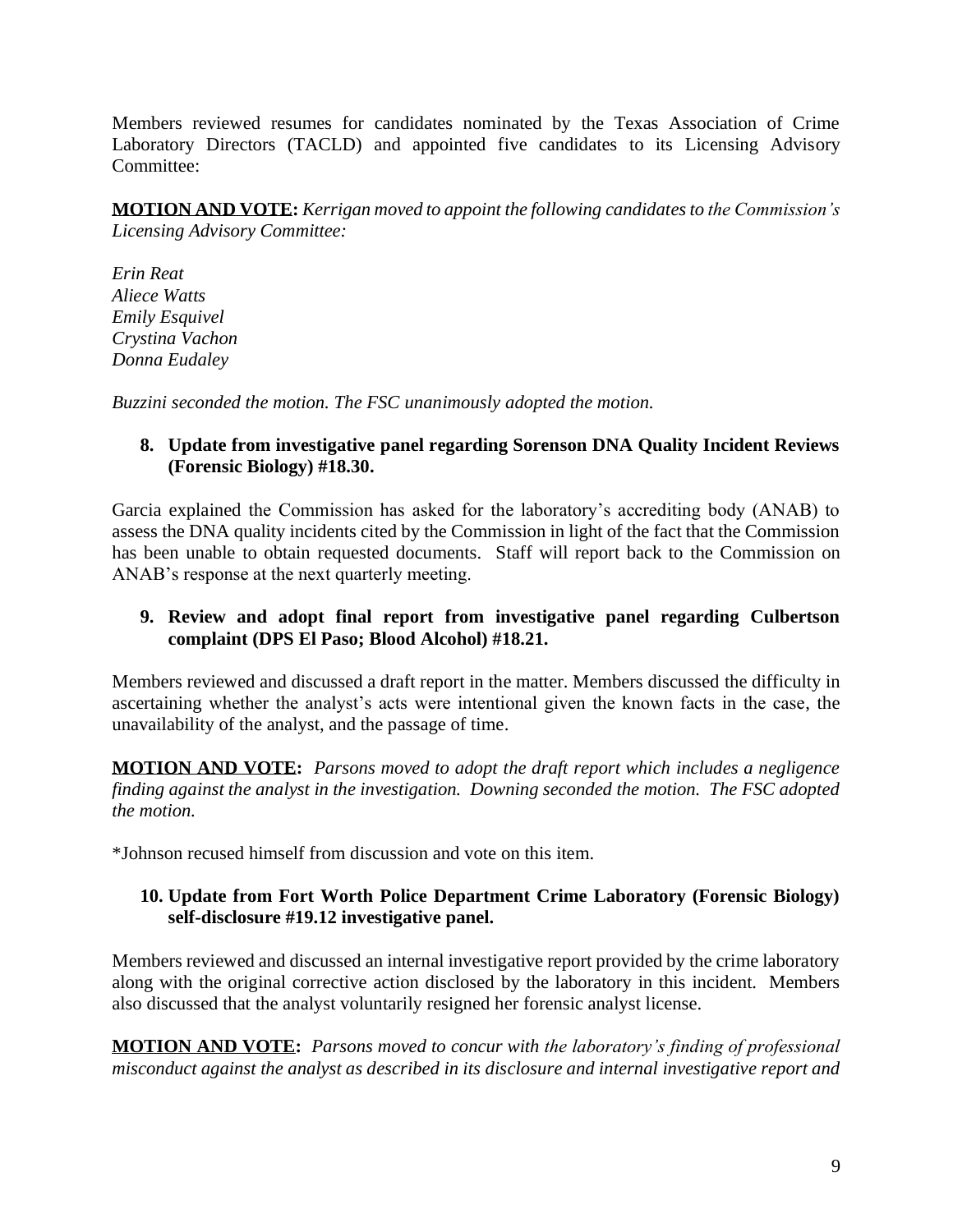Members reviewed resumes for candidates nominated by the Texas Association of Crime Laboratory Directors (TACLD) and appointed five candidates to its Licensing Advisory Committee:

**MOTION AND VOTE:** *Kerrigan moved to appoint the following candidates to the Commission's Licensing Advisory Committee:*

*Erin Reat Aliece Watts Emily Esquivel Crystina Vachon Donna Eudaley* 

*Buzzini seconded the motion. The FSC unanimously adopted the motion.*

### **8. Update from investigative panel regarding Sorenson DNA Quality Incident Reviews (Forensic Biology) #18.30.**

Garcia explained the Commission has asked for the laboratory's accrediting body (ANAB) to assess the DNA quality incidents cited by the Commission in light of the fact that the Commission has been unable to obtain requested documents. Staff will report back to the Commission on ANAB's response at the next quarterly meeting.

### **9. Review and adopt final report from investigative panel regarding Culbertson complaint (DPS El Paso; Blood Alcohol) #18.21.**

Members reviewed and discussed a draft report in the matter. Members discussed the difficulty in ascertaining whether the analyst's acts were intentional given the known facts in the case, the unavailability of the analyst, and the passage of time.

**MOTION AND VOTE:** *Parsons moved to adopt the draft report which includes a negligence finding against the analyst in the investigation. Downing seconded the motion. The FSC adopted the motion.* 

\*Johnson recused himself from discussion and vote on this item.

### **10. Update from Fort Worth Police Department Crime Laboratory (Forensic Biology) self-disclosure #19.12 investigative panel.**

Members reviewed and discussed an internal investigative report provided by the crime laboratory along with the original corrective action disclosed by the laboratory in this incident. Members also discussed that the analyst voluntarily resigned her forensic analyst license.

**MOTION AND VOTE:** *Parsons moved to concur with the laboratory's finding of professional misconduct against the analyst as described in its disclosure and internal investigative report and*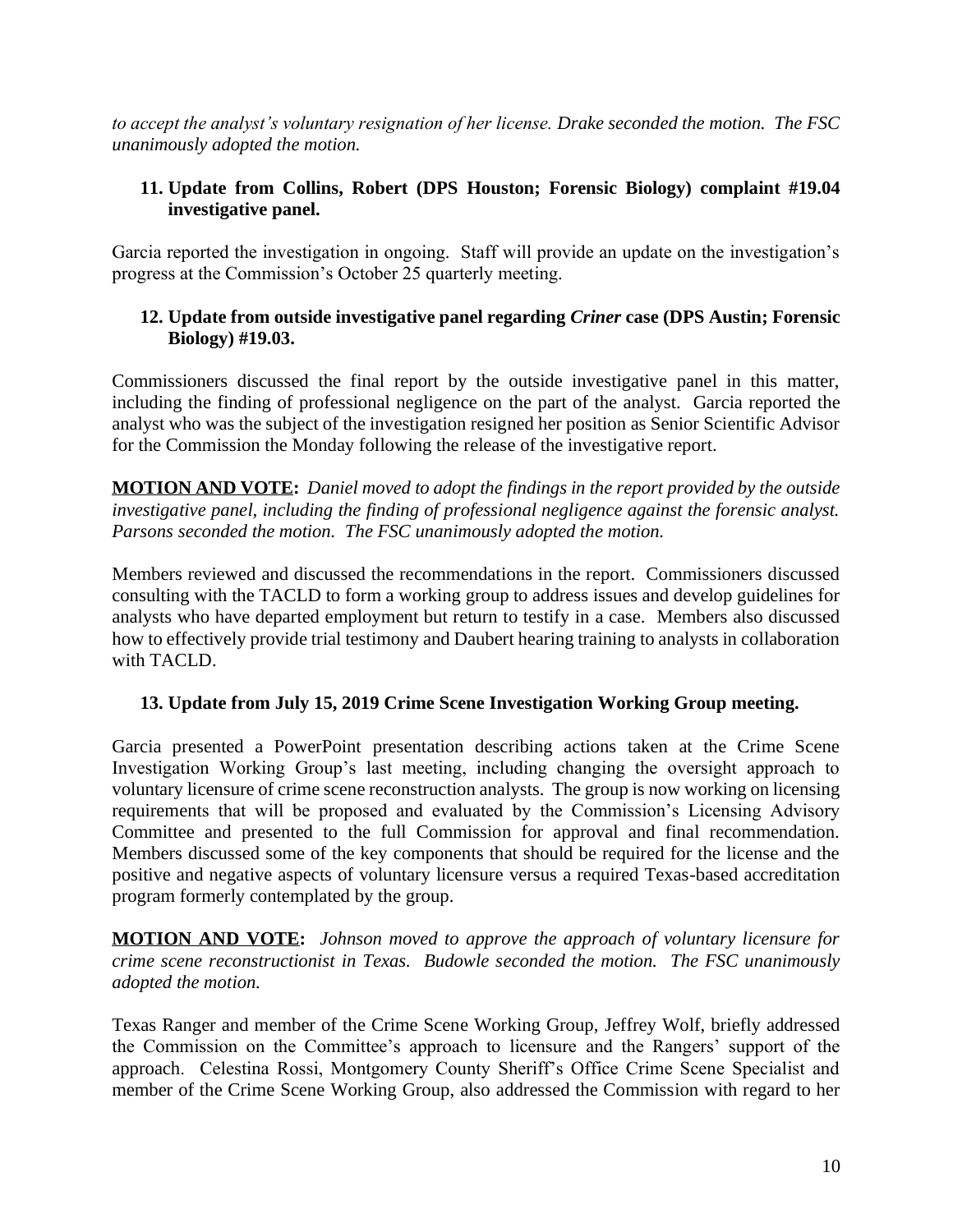*to accept the analyst's voluntary resignation of her license. Drake seconded the motion. The FSC unanimously adopted the motion.*

### **11. Update from Collins, Robert (DPS Houston; Forensic Biology) complaint #19.04 investigative panel.**

Garcia reported the investigation in ongoing. Staff will provide an update on the investigation's progress at the Commission's October 25 quarterly meeting.

### **12. Update from outside investigative panel regarding** *Criner* **case (DPS Austin; Forensic Biology) #19.03.**

Commissioners discussed the final report by the outside investigative panel in this matter, including the finding of professional negligence on the part of the analyst. Garcia reported the analyst who was the subject of the investigation resigned her position as Senior Scientific Advisor for the Commission the Monday following the release of the investigative report.

**MOTION AND VOTE:** *Daniel moved to adopt the findings in the report provided by the outside investigative panel, including the finding of professional negligence against the forensic analyst. Parsons seconded the motion. The FSC unanimously adopted the motion.*

Members reviewed and discussed the recommendations in the report. Commissioners discussed consulting with the TACLD to form a working group to address issues and develop guidelines for analysts who have departed employment but return to testify in a case. Members also discussed how to effectively provide trial testimony and Daubert hearing training to analysts in collaboration with TACLD.

### **13. Update from July 15, 2019 Crime Scene Investigation Working Group meeting.**

Garcia presented a PowerPoint presentation describing actions taken at the Crime Scene Investigation Working Group's last meeting, including changing the oversight approach to voluntary licensure of crime scene reconstruction analysts. The group is now working on licensing requirements that will be proposed and evaluated by the Commission's Licensing Advisory Committee and presented to the full Commission for approval and final recommendation. Members discussed some of the key components that should be required for the license and the positive and negative aspects of voluntary licensure versus a required Texas-based accreditation program formerly contemplated by the group.

**MOTION AND VOTE:** *Johnson moved to approve the approach of voluntary licensure for crime scene reconstructionist in Texas. Budowle seconded the motion. The FSC unanimously adopted the motion.*

Texas Ranger and member of the Crime Scene Working Group, Jeffrey Wolf, briefly addressed the Commission on the Committee's approach to licensure and the Rangers' support of the approach. Celestina Rossi, Montgomery County Sheriff's Office Crime Scene Specialist and member of the Crime Scene Working Group, also addressed the Commission with regard to her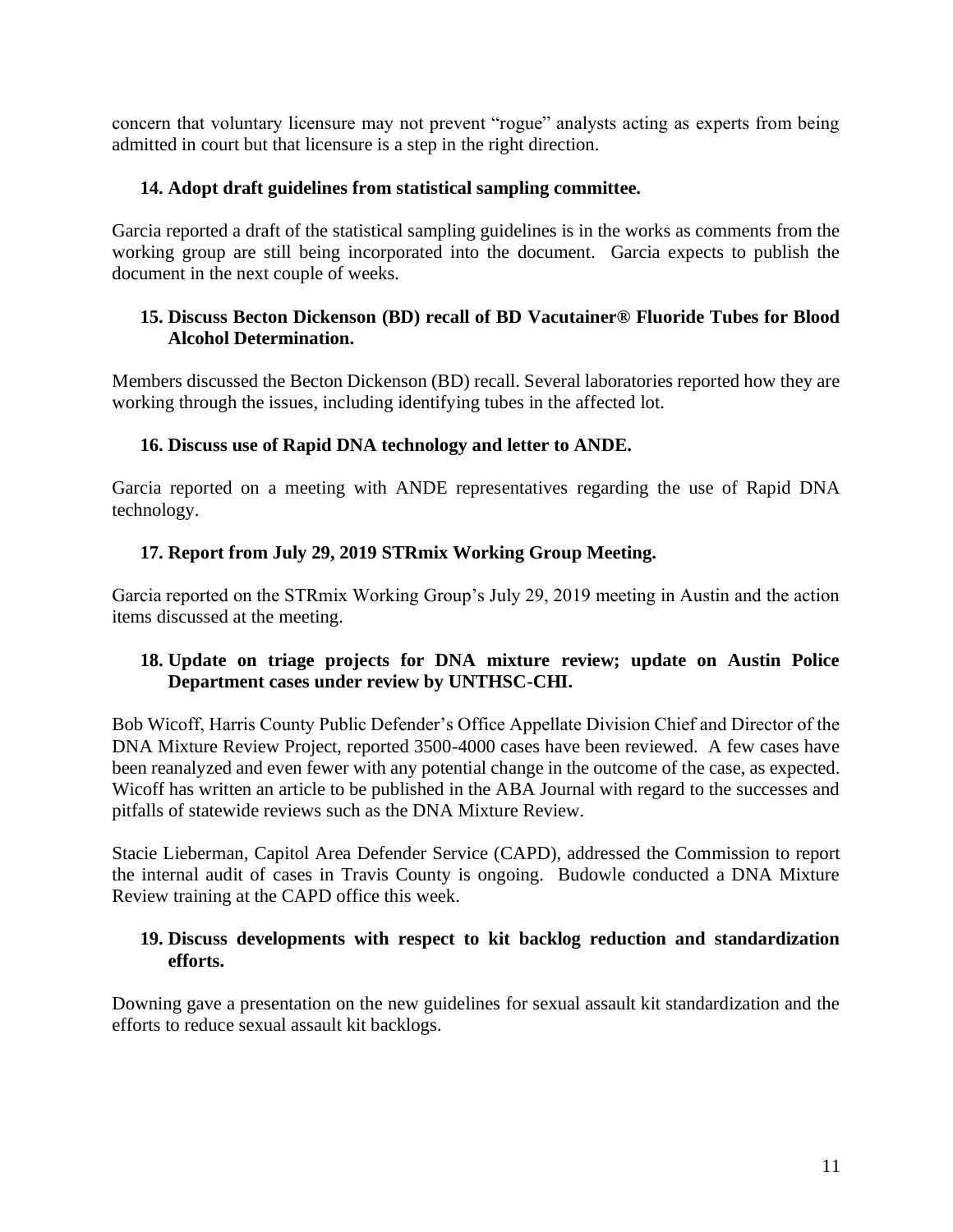concern that voluntary licensure may not prevent "rogue" analysts acting as experts from being admitted in court but that licensure is a step in the right direction.

## **14. Adopt draft guidelines from statistical sampling committee.**

Garcia reported a draft of the statistical sampling guidelines is in the works as comments from the working group are still being incorporated into the document. Garcia expects to publish the document in the next couple of weeks.

## **15. Discuss Becton Dickenson (BD) recall of BD Vacutainer® Fluoride Tubes for Blood Alcohol Determination.**

Members discussed the Becton Dickenson (BD) recall. Several laboratories reported how they are working through the issues, including identifying tubes in the affected lot.

## **16. Discuss use of Rapid DNA technology and letter to ANDE.**

Garcia reported on a meeting with ANDE representatives regarding the use of Rapid DNA technology.

## **17. Report from July 29, 2019 STRmix Working Group Meeting.**

Garcia reported on the STRmix Working Group's July 29, 2019 meeting in Austin and the action items discussed at the meeting.

## **18. Update on triage projects for DNA mixture review; update on Austin Police Department cases under review by UNTHSC-CHI.**

Bob Wicoff, Harris County Public Defender's Office Appellate Division Chief and Director of the DNA Mixture Review Project, reported 3500-4000 cases have been reviewed. A few cases have been reanalyzed and even fewer with any potential change in the outcome of the case, as expected. Wicoff has written an article to be published in the ABA Journal with regard to the successes and pitfalls of statewide reviews such as the DNA Mixture Review.

Stacie Lieberman, Capitol Area Defender Service (CAPD), addressed the Commission to report the internal audit of cases in Travis County is ongoing. Budowle conducted a DNA Mixture Review training at the CAPD office this week.

## **19. Discuss developments with respect to kit backlog reduction and standardization efforts.**

Downing gave a presentation on the new guidelines for sexual assault kit standardization and the efforts to reduce sexual assault kit backlogs.